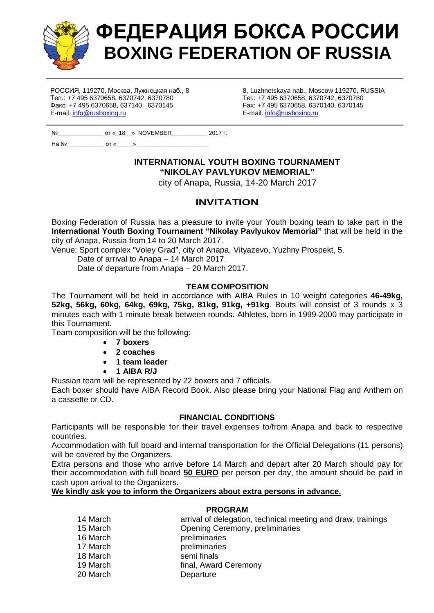

# ФЕДЕРАЦИЯ БОКСА РОССИИ **BOXING FEDERATION OF RUSSIA**

РОССИЯ, 119270, Москва, Лужнецкая наб., 8 Тел.: +7 495 6370658, 6370742, 6370780 Факс: +7 495 6370658, 637140, 6370145 E-mail: info@rusboxing.ru

8, Luzhnetskaya nab., Moscow 119270, RUSSIA Tel.: +7 495 6370658, 6370742, 6370780 Fax: +7 495 6370658, 6370140, 6370145 E-mail: info@rusboxing.ru

| Nº   |      | ot « 18 » NOVEMBER | $2017r$ . |
|------|------|--------------------|-----------|
| Ha № | OT « |                    |           |

# **INTERNATIONAL YOUTH BOXING TOURNAMENT "NIKOLAY PAVLYUKOV MEMORIAL"**

city of Anapa, Russia, 14-20 March 2017

# **INVITATION**

Boxing Federation of Russia has a pleasure to invite your Youth boxing team to take part in the **International Youth Boxing Tournament "Nikolay Pavlyukov Memorial"** that will be held in the city of Anapa, Russia from 14 to 20 March 2017.

Venue: Sport complex "Voley Grad", city of Anapa, Vityazevo, Yuzhny Prospekt, 5.

Date of arrival to Anapa – 14 March 2017.

Date of departure from Anapa – 20 March 2017.

## **TEAM COMPOSITION**

The Tournament will be held in accordance with AIBA Rules in 10 weight categories **46-49kg, 52kg, 56kg, 60kg, 64kg, 69kg, 75kg, 81kg, 91kg, +91kg**. Bouts will consist of 3 rounds x 3 minutes each with 1 minute break between rounds. Athletes, born in 1999-2000 may participate in this Tournament.

Team composition will be the following:

- x **7 boxers**
- x **2 coaches**
- x **1 team leader**
- x **1 AIBA R/J**

Russian team will be represented by 22 boxers and 7 officials.

Each boxer should have AIBA Record Book. Also please bring your National Flag and Anthem on a cassette or CD.

## **FINANCIAL CONDITIONS**

Participants will be responsible for their travel expenses to/from Anapa and back to respective countries.

Accommodation with full board and internal transportation for the Official Delegations (11 persons) will be covered by the Organizers.

Extra persons and those who arrive before 14 March and depart after 20 March should pay for their accommodation with full board **50 EURO** per person per day, the amount should be paid in cash upon arrival to the Organizers.

## **We kindly ask you to inform the Organizers about extra persons in advance.**

## **PROGRAM**

| 14 March | arrival of delegation, technical meeting and draw, trainings |
|----------|--------------------------------------------------------------|
| 15 March | Opening Ceremony, preliminaries                              |
| 16 March | preliminaries                                                |
| 17 March | preliminaries                                                |
| 18 March | semi finals                                                  |
| 19 March | final, Award Ceremony                                        |
| 20 March | Departure                                                    |